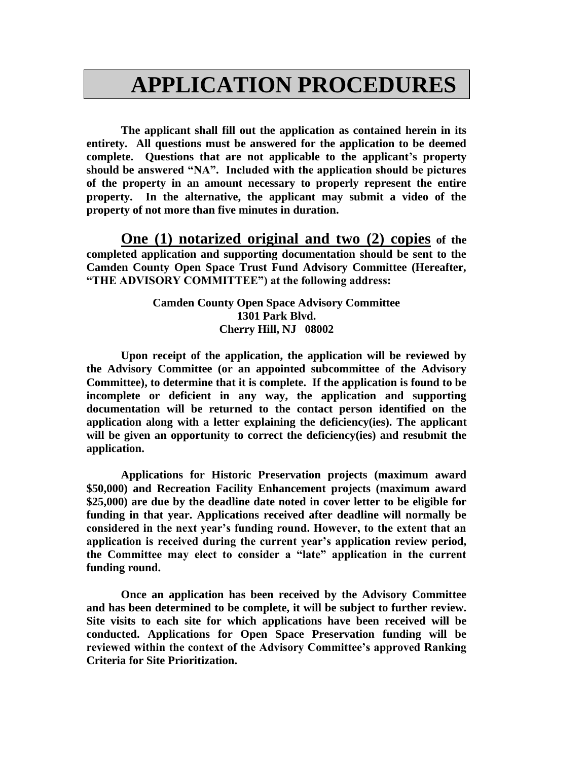## **APPLICATION PROCEDURES**

**The applicant shall fill out the application as contained herein in its entirety. All questions must be answered for the application to be deemed complete. Questions that are not applicable to the applicant's property should be answered "NA". Included with the application should be pictures of the property in an amount necessary to properly represent the entire property. In the alternative, the applicant may submit a video of the property of not more than five minutes in duration.**

**One (1) notarized original and two (2) copies of the completed application and supporting documentation should be sent to the Camden County Open Space Trust Fund Advisory Committee (Hereafter, "THE ADVISORY COMMITTEE") at the following address:**

> **Camden County Open Space Advisory Committee 1301 Park Blvd. Cherry Hill, NJ 08002**

**Upon receipt of the application, the application will be reviewed by the Advisory Committee (or an appointed subcommittee of the Advisory Committee), to determine that it is complete. If the application is found to be incomplete or deficient in any way, the application and supporting documentation will be returned to the contact person identified on the application along with a letter explaining the deficiency(ies). The applicant will be given an opportunity to correct the deficiency(ies) and resubmit the application.** 

**Applications for Historic Preservation projects (maximum award \$50,000) and Recreation Facility Enhancement projects (maximum award \$25,000) are due by the deadline date noted in cover letter to be eligible for funding in that year. Applications received after deadline will normally be considered in the next year's funding round. However, to the extent that an application is received during the current year's application review period, the Committee may elect to consider a "late" application in the current funding round.** 

**Once an application has been received by the Advisory Committee and has been determined to be complete, it will be subject to further review. Site visits to each site for which applications have been received will be conducted. Applications for Open Space Preservation funding will be reviewed within the context of the Advisory Committee's approved Ranking Criteria for Site Prioritization.**